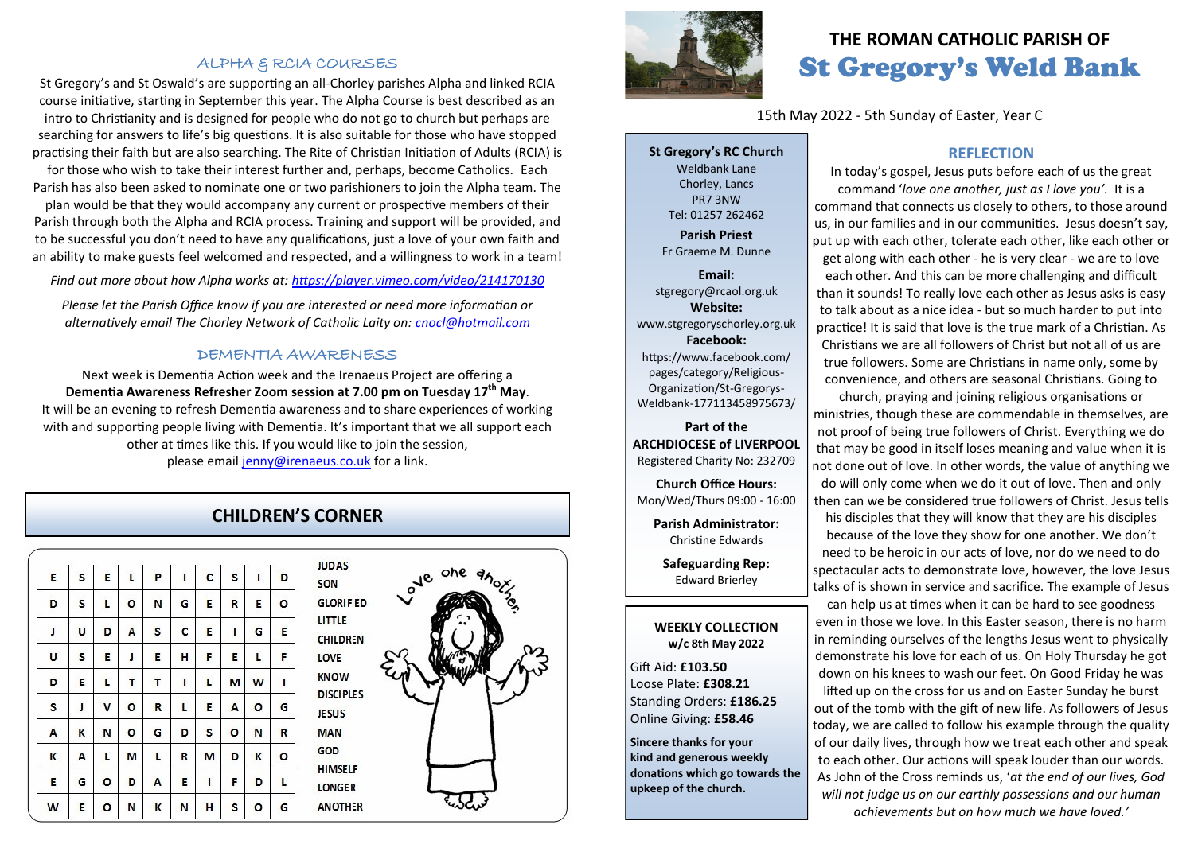### ALPHA & RCIA COURSES

St Gregory's and St Oswald's are supporting an all-Chorley parishes Alpha and linked RCIA course initiative, starting in September this year. The Alpha Course is best described as an intro to Christianity and is designed for people who do not go to church but perhaps are searching for answers to life's big questions. It is also suitable for those who have stopped practising their faith but are also searching. The Rite of Christian Initiation of Adults (RCIA) is for those who wish to take their interest further and, perhaps, become Catholics. Each Parish has also been asked to nominate one or two parishioners to join the Alpha team. The plan would be that they would accompany any current or prospective members of their Parish through both the Alpha and RCIA process. Training and support will be provided, and to be successful you don't need to have any qualifications, just a love of your own faith and an ability to make guests feel welcomed and respected, and a willingness to work in a team!

*Find out more about how Alpha works at: <https://player.vimeo.com/video/214170130>*

*Please let the Parish Office know if you are interested or need more information or alternatively email The Chorley Network of Catholic Laity on: [cnocl@hotmail.com](mailto:cnocl@hotmail.com)*

#### DEMENTIA AWARENESS

Next week is Dementia Action week and the Irenaeus Project are offering a **Dementia Awareness Refresher Zoom session at 7.00 pm on Tuesday 17th May**. It will be an evening to refresh Dementia awareness and to share experiences of working with and supporting people living with Dementia. It's important that we all support each other at times like this. If you would like to join the session, please email [jenny@irenaeus.co.uk](mailto:jenny@irenaeus.co.uk) for a link.

## **CHILDREN'S CORNER**

| E | s | E       | $\mathbf{L}$ | $\mathsf{P}$ | ï | $\mathbf c$ | s | $\mathbf{I}$ | D |
|---|---|---------|--------------|--------------|---|-------------|---|--------------|---|
| D | S | L       | $\circ$      | N            | G | E           | R | E            | ٥ |
| J | U | D       | A            | S            | C | E           | ı | G            | E |
| U | S | E       | J            | E            | н | F           | E | L            | F |
| D | E | L       | т            | Τ            | I | L           | M | W            | I |
| S | J | V       | $\circ$      | R            | L | E           | Α | $\circ$      | G |
| A | K | N       | $\circ$      | G            | D | S           | o | N            | R |
| K | А | L       | M            | L            | R | M           | D | K            | o |
| E | G | $\circ$ | D            | Α            | E | ı           | F | D            | г |
| W | E | о       | N            | K            | N | H           | S | $\circ$      | G |





## **THE ROMAN CATHOLIC PARISH OF** St Gregory's Weld Bank

15th May 2022 - 5th Sunday of Easter, Year C

**St Gregory's RC Church** Weldbank Lane Chorley, Lancs PR7 3NW Tel: 01257 262462 **Parish Priest**

Fr Graeme M. Dunne

**Email:** stgregory@rcaol.org.uk **Website:** www.stgregoryschorley.org.uk **Facebook:** https://www.facebook.com/ pages/category/Religious-Organization/St-Gregorys-Weldbank-177113458975673/

## **Part of the ARCHDIOCESE of LIVERPOOL**  Registered Charity No: 232709

**Church Office Hours:** Mon/Wed/Thurs 09:00 - 16:00

**Parish Administrator:** Christine Edwards

**Safeguarding Rep:** Edward Brierley

#### **WEEKLY COLLECTION w/c 8th May 2022**

Gift Aid: **£103.50** Loose Plate: **£308.21** Standing Orders: **£186.25** Online Giving: **£58.46**

**Sincere thanks for your kind and generous weekly donations which go towards the upkeep of the church.** 

## **REFLECTION**

In today's gospel, Jesus puts before each of us the great command '*love one another, just as I love you'.* It is a command that connects us closely to others, to those around us, in our families and in our communities. Jesus doesn't say, put up with each other, tolerate each other, like each other or get along with each other - he is very clear - we are to love each other. And this can be more challenging and difficult than it sounds! To really love each other as Jesus asks is easy to talk about as a nice idea - but so much harder to put into practice! It is said that love is the true mark of a Christian. As Christians we are all followers of Christ but not all of us are true followers. Some are Christians in name only, some by convenience, and others are seasonal Christians. Going to

church, praying and joining religious organisations or ministries, though these are commendable in themselves, are not proof of being true followers of Christ. Everything we do that may be good in itself loses meaning and value when it is not done out of love. In other words, the value of anything we do will only come when we do it out of love. Then and only then can we be considered true followers of Christ. Jesus tells

his disciples that they will know that they are his disciples because of the love they show for one another. We don't need to be heroic in our acts of love, nor do we need to do spectacular acts to demonstrate love, however, the love Jesus talks of is shown in service and sacrifice. The example of Jesus

can help us at times when it can be hard to see goodness even in those we love. In this Easter season, there is no harm in reminding ourselves of the lengths Jesus went to physically demonstrate his love for each of us. On Holy Thursday he got down on his knees to wash our feet. On Good Friday he was

lifted up on the cross for us and on Easter Sunday he burst out of the tomb with the gift of new life. As followers of Jesus today, we are called to follow his example through the quality of our daily lives, through how we treat each other and speak to each other. Our actions will speak louder than our words. As John of the Cross reminds us, '*at the end of our lives, God will not judge us on our earthly possessions and our human achievements but on how much we have loved.'*